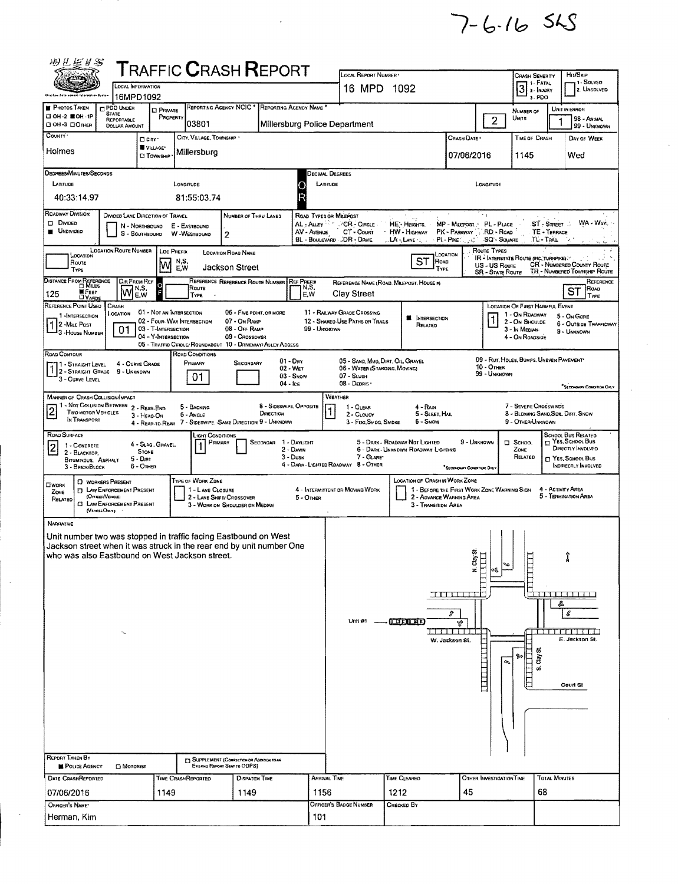$7 - 6 - 165$ 

| 羽星岩岩                                                                                                                                                                                                                                                                           |                                                                                                                         |                                                                        | <b>T</b> RAFFIC <b>C</b> RASH <b>R</b> EPORT                                              |                                                                                               |                                                 |                          |                                                                                                    |                                                                                                                                  |                                                                                 |                                                                                      |                                                                                                         |                                           |                                                                                                                                                  |
|--------------------------------------------------------------------------------------------------------------------------------------------------------------------------------------------------------------------------------------------------------------------------------|-------------------------------------------------------------------------------------------------------------------------|------------------------------------------------------------------------|-------------------------------------------------------------------------------------------|-----------------------------------------------------------------------------------------------|-------------------------------------------------|--------------------------|----------------------------------------------------------------------------------------------------|----------------------------------------------------------------------------------------------------------------------------------|---------------------------------------------------------------------------------|--------------------------------------------------------------------------------------|---------------------------------------------------------------------------------------------------------|-------------------------------------------|--------------------------------------------------------------------------------------------------------------------------------------------------|
| <b>Ohig Faw Estat pempan futureall</b>                                                                                                                                                                                                                                         | OCAL INFORMATION<br>16MPD1092                                                                                           |                                                                        |                                                                                           |                                                                                               |                                                 |                          | LOCAL REPORT NUMBER<br>16 MPD 1092                                                                 |                                                                                                                                  |                                                                                 |                                                                                      | Crash Severity<br>1 1 - Fatal<br>$3 \frac{1}{2}$ MATAL<br>3-PDO                                         |                                           | Hn/SkiP<br>1 - SOLVED<br>2. UNSOLVED                                                                                                             |
| <b>PHOTOS TAKEN</b><br>□ ОН-2 ШОН-1Р                                                                                                                                                                                                                                           | <b>C</b> PDO UNDER<br><b>STATE</b><br>REPORTABLE                                                                        | <b>D</b> PRIVATE<br>PROPERTY                                           |                                                                                           | REPORTING AGENCY NCIC *                                                                       | REPORTING AGENCY NAME                           |                          |                                                                                                    |                                                                                                                                  |                                                                                 | 2 <sup>1</sup>                                                                       | NUMBER OF<br>Umrs                                                                                       |                                           | UNIT IN ERROR<br>98 - ANTAAL                                                                                                                     |
| C OH-3 CIOTHER<br>COUNTY'                                                                                                                                                                                                                                                      | <b>DOLLAR AMOUNT</b>                                                                                                    | <b>O</b> CITY                                                          | 03801<br>CITY, VILLAGE, TOWNSHIP                                                          |                                                                                               |                                                 |                          | Millersburg Police Department                                                                      |                                                                                                                                  | Crash Date *                                                                    |                                                                                      | TIME OF CRASH                                                                                           |                                           | 99 - Unknown<br>DAY OF WEEK                                                                                                                      |
| Holmes                                                                                                                                                                                                                                                                         |                                                                                                                         | VILLAGE*<br><b>CI TOWNSHIP</b>                                         | Millersburg                                                                               |                                                                                               |                                                 |                          |                                                                                                    |                                                                                                                                  | 07/06/2016                                                                      |                                                                                      | 1145                                                                                                    |                                           | Wed                                                                                                                                              |
| DEGREES MINUTES/SECONDS<br>LATITUDE                                                                                                                                                                                                                                            |                                                                                                                         |                                                                        | LONGITUDE                                                                                 |                                                                                               |                                                 |                          | Decimal Degrees<br>LATITUDE                                                                        |                                                                                                                                  |                                                                                 | LONGITUDE                                                                            |                                                                                                         |                                           |                                                                                                                                                  |
| 40:33:14.97                                                                                                                                                                                                                                                                    |                                                                                                                         |                                                                        | 81:55:03.74                                                                               |                                                                                               |                                                 | C<br>O                   |                                                                                                    |                                                                                                                                  |                                                                                 |                                                                                      |                                                                                                         |                                           |                                                                                                                                                  |
| ROADWAY DIVISION<br><b>DI DIVIDED</b><br><b>UNDIVIDED</b>                                                                                                                                                                                                                      | <b>DIVIDED LANE DIRECTION OF TRAVEL</b>                                                                                 | N - NORTHBOUND<br>S - SOUTHBOUND                                       | E - EASTBOUND<br>W WESTBDUND                                                              | NUMBER OF THRU LANES<br>$\overline{c}$                                                        |                                                 | AV - Avenue              | ROAD TYPES OR MILEPOST<br>AL - ALLEY COR - CIRCLE<br>CT - Court<br>BL - BOULEVARD DR - DAIVE       | HE'- Heights<br>HW - Highway<br><b>LA-LANE</b>                                                                                   | MP - MICEPOST. PL - PLACE<br>PK - PARKWAY<br>PL-PIKE : 2007                     | RD - ROAD<br>-SQ'- SQUARE                                                            |                                                                                                         | $ST - S$ TREET<br>TE - TERRACE<br>TL-TRAL | WA - WAY                                                                                                                                         |
| LOCATION<br>Route<br>Type                                                                                                                                                                                                                                                      | <b>LOCATION ROUTE NUMBER</b>                                                                                            | M                                                                      | LOC PREFIX<br>N,S,<br>E.W                                                                 | <b>LOCATION ROAD NAME</b><br>Jackson Street                                                   |                                                 |                          |                                                                                                    | ST<br>Roap<br>Type                                                                                                               | LOCATION                                                                        | ROUTE TYPES<br>US - US Route<br><b>SR - STATE ROUTE</b>                              | <b>IR - INTERSTATE ROUTE (INC. TURNPIKE)</b>                                                            |                                           | CR - NUMBERED COUNTY ROUTE<br>TR - NUMBERED TOWNSHIP ROUTE                                                                                       |
| DISTANCE FROM REFERENCE<br><b>WFEET</b><br>125<br><b>DYARDS</b>                                                                                                                                                                                                                | Dir From Ref<br>١w                                                                                                      | O<br>N,S,<br>E,W                                                       | Route<br>TYPE                                                                             | REFERENCE REFERENCE ROUTE NUMBER REF PREEM                                                    |                                                 | N,S,<br>E,W              | Clay Street                                                                                        | REFERENCE NAME (ROAD, MILEPOST, HOUSE #)                                                                                         |                                                                                 |                                                                                      |                                                                                                         |                                           | REFERENCE<br>ROAD<br>ST<br><b>TYPE</b>                                                                                                           |
| REFERENCE POINT USED<br>1-INTERSECTION<br>1 2 - MILE POST<br>3 - HOUSE NUMBER                                                                                                                                                                                                  | <b>CRASH</b><br>LOCATION<br>01                                                                                          | 01 - NOT AN INTERSECTION<br>03 - T-INTERSECTION<br>04 - Y-Intersection | 02 - Four-Way Intersection<br>05 - TRAFFIC CIRCLE/ ROUNDABOUT 10 - DRIVEWAY/ ALLEY ACCESS | 06 - FIVE-POINT, OR MORE<br>07 - ON RAMP<br>08 - OFF RAMP<br>09 - CROSSOVER                   |                                                 | 99 - UNKNOWN             | 11 - RAILWAY GRADE CROSSING<br>12 - SHARED-USE PATHS OR TRAILS                                     | <b>E</b> INTERSECTION<br>RELATED                                                                                                 |                                                                                 | 1                                                                                    | LOCATION OF FIRST HARMFUL EVENT<br>1 - On ROADWAY<br>2 - On Shoulde<br>3 - In Mepian<br>4 - On Roapside |                                           | 5 - On GORE<br>6 - OUTSIDE TRAFFICWAY<br>9 - UNKNOWN                                                                                             |
| ROAD CONTOUR<br>1 - STRAIGHT LEVEL<br>1 2 - STRAIGHT GRADE<br>3 - CURVE LEVEL                                                                                                                                                                                                  | 4 - CURVE GRADE<br>9 - UNKNOWN                                                                                          |                                                                        | ROAD CONDITIONS<br>PRIMARY<br>01                                                          | SECONDARY                                                                                     | $01 - Drx$<br>02 - WET<br>03 - Snow<br>04 - Ice |                          | 05 - SAND, MUD, DIRT, OIL, GRAVEL<br>06 - WATER (STANDING, MOVING)<br>07 - SLUSH<br>$08 - Desns -$ |                                                                                                                                  |                                                                                 | $10 -$ OTHER<br>99 - Unknown                                                         | 09 - RUT, HOLES, BUMPS, UNEVEN PAVEMENT                                                                 |                                           | "SECONDARY CONDITION ORLY                                                                                                                        |
| <b>MANNER OF CRASH COLLISION/IMPACT</b><br>1 - NOT COLLISION BETWEEN 2 - REAR-END<br>$\overline{2}$<br>TWO MOTOR VEHICLES<br>IN TRANSPORT                                                                                                                                      |                                                                                                                         | 3 - HEAD-ON                                                            | 5 - BACKING<br>6 - Angle<br>4 - REAR-TO-REAR 7 - SIDESWIPE, SAME DIRECTION 9 - UNKNOWN    |                                                                                               | 8 - Sideswipe, Opposite<br>DIRECTION            |                          | WEATHER<br>$1 - C$ LEAR<br>2 - CLOUDY<br>3 - Fog, Smog, Smoke                                      | 4 - Rain<br>5 - Sleet, Hail<br>6 - Snow                                                                                          |                                                                                 |                                                                                      | 7 - SEVERE CROSSWINDS<br>8 - BLOWING SAND, SOL, DIRT, SNOW<br>9 - OTHER/UNKNOWN                         |                                           |                                                                                                                                                  |
| ROAD SURFACE<br>$\overline{\mathbf{c}}$<br>1 - CONCRETE<br>2 - BLACKTOP,<br>BITUMINOUS, ASPHALT<br>3 - BRICK BLOCK                                                                                                                                                             |                                                                                                                         | 4 - SLAG, GRAVEL.<br><b>STONE</b><br>5 - Drn<br>$6 -$ OTHER            | Light Conditions<br>PRIMARY<br>1                                                          |                                                                                               | SECONDAR<br>3 - Dusk                            | 1 - DAYLIGHT<br>2 - DAWN | 7 - GLARE<br>4 - DARK - LIGHTED ROADWAY 8 - OTHER                                                  | 5 - DARK - ROADWAY NOT LIGHTED<br>6 - DARK - UNKNOWN ROADWAY LIGHTING                                                            | 9 - UNKNOWN<br>"SECONDARY CONDITION DALY                                        |                                                                                      | $\square$ School<br>ZONE<br>RELATED                                                                     |                                           | SCHOOL BUS RELATED<br>$\sqcap$ Yes, School Bus<br>DIRECTLY INVOLVED<br>T YES. SCHOOL BUS<br>INDIRECTLY INVOLVED                                  |
| OWDRK<br>ZONE<br>RELATED                                                                                                                                                                                                                                                       | D WORKERS PRESENT<br><b>D</b> LAW ENFORCEMENT PRESENT<br>(OFFICER/VENCLE)<br>C LAW ENFORCEMENT PRESENT<br>(VEHOLE ONLY) |                                                                        | <b>TYPE OF WORK ZONE</b><br>1 - LANE CLOSURE                                              | 2 - LANE SHIFT/ CROSSOVER<br>3 - WORK ON SHOULDER OR MEDIAN                                   |                                                 | $5 -$ OTHER              | 4 - INTERMITTENT OR MOVING WORK                                                                    | LOCATION OF CRASH IN WORK ZONE<br>1 - BEFORE THE FIRST WORK ZONE WARNING SIGN<br>2 - AOVANCE WARNING AREA<br>3 - Transition Area |                                                                                 |                                                                                      |                                                                                                         | 4 - ACTIVITY AREA                         | 5 - TERMINATION AREA                                                                                                                             |
| NARRATIVE<br>Unit number two was stopped in traffic facing Eastbound on West<br>Jackson street when it was struck in the rear end by unit number One<br>who was also Eastbound on West Jackson street.<br><b>REPORT TAKEN BY</b><br><b>POLICE AGENCY</b><br>DATE CRASHREPORTED | $\mathbf{r}_\mathbf{r}$<br><b>CI MOTORIST</b>                                                                           |                                                                        | TIME CRASHREPORTED                                                                        | C SUPPLEMENT (CORRECTION OR ADDITION TO AN<br>Existing Revoltt Sent to ODPS)<br>DISPATCH TIME |                                                 |                          | Unit #1 .<br><b>ARRIVAL TIME</b>                                                                   | $T$ or $T$ $T$ $T$<br>TIME CLEARED                                                                                               | $M$ . Clay St.<br>$M$<br>TITITITITI<br>ø<br>Ą,<br>TE EL TETTI<br>W. Jackson SI. | $\overline{\phantom{0}}$<br>લ્લી<br><b>THE HEAD</b><br>ቊ<br>OTHER INVESTIGATION TIME | E<br>E<br>ti,<br>ি≏<br>ទី<br>vi.                                                                        | s,<br><b>TOTAL MINUTES</b>                | 2 - 200 - 200 - 200 - 200 - 200 - 200 - 200 - 200 - 200 - 200 - 200 - 200 - 200 - 200 - 200 - 200 - 200 - 200<br>€<br>E. Jackson St.<br>Court St |
| 07/06/2016                                                                                                                                                                                                                                                                     |                                                                                                                         | 1149                                                                   |                                                                                           | 1149                                                                                          |                                                 | 1156                     |                                                                                                    | 1212                                                                                                                             | 45                                                                              |                                                                                      |                                                                                                         | 68                                        |                                                                                                                                                  |
| OFFICER'S NAME*<br>Herman, Kim                                                                                                                                                                                                                                                 |                                                                                                                         |                                                                        |                                                                                           |                                                                                               |                                                 | 101                      | OFFICER'S BADGE NUMBER                                                                             | CHECKED BY                                                                                                                       |                                                                                 |                                                                                      |                                                                                                         |                                           |                                                                                                                                                  |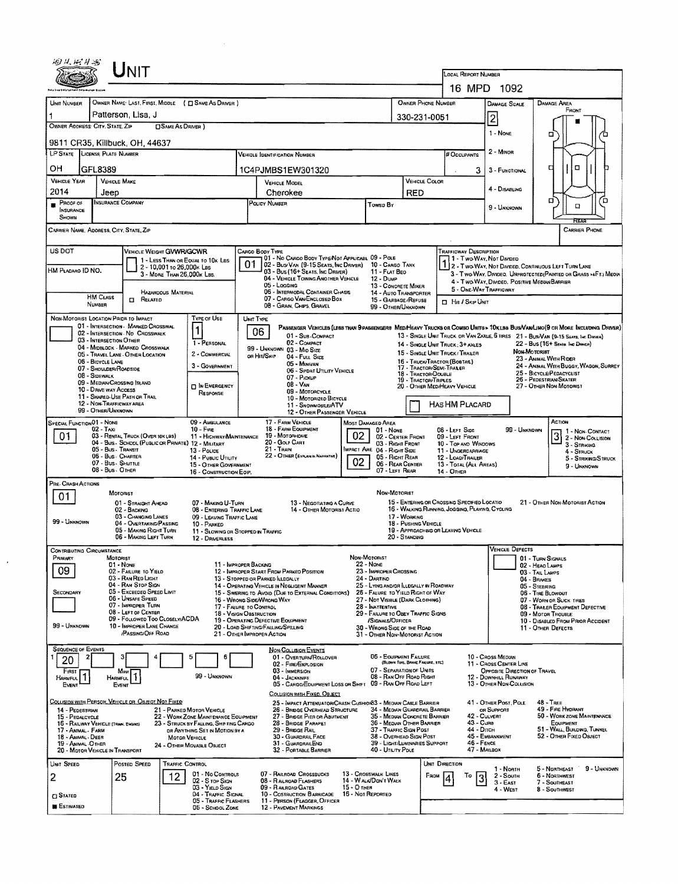| 姆从树林的                                                          |                                         | JNIT                                                                                   |                            |                                                                                |                                                                                   |                                                                                                  |                                  |                                                                            |                                      | LOCAL REPORT NUMBER                                                                                                                                        |                                                                   |                                                                                                                              |  |  |  |
|----------------------------------------------------------------|-----------------------------------------|----------------------------------------------------------------------------------------|----------------------------|--------------------------------------------------------------------------------|-----------------------------------------------------------------------------------|--------------------------------------------------------------------------------------------------|----------------------------------|----------------------------------------------------------------------------|--------------------------------------|------------------------------------------------------------------------------------------------------------------------------------------------------------|-------------------------------------------------------------------|------------------------------------------------------------------------------------------------------------------------------|--|--|--|
|                                                                |                                         |                                                                                        |                            |                                                                                |                                                                                   |                                                                                                  |                                  |                                                                            |                                      |                                                                                                                                                            | 16 MPD 1092                                                       |                                                                                                                              |  |  |  |
| Unit Number                                                    |                                         |                                                                                        |                            | OWNER NAME: LAST, FIRST, MIDDLE ( C SAME AS DRIVER )                           |                                                                                   |                                                                                                  |                                  |                                                                            | OWNER PHONE NUMBER                   |                                                                                                                                                            | DAMAGE SCALE                                                      | <b>DAMAGE AREA</b>                                                                                                           |  |  |  |
|                                                                | Patterson, Lisa, J                      |                                                                                        |                            |                                                                                |                                                                                   |                                                                                                  |                                  |                                                                            | 330-231-0051                         |                                                                                                                                                            | $\overline{c}$                                                    | FRONT                                                                                                                        |  |  |  |
| OWNER ADDRESS: CITY, STATE, ZIP<br><b>CISAME AS DRIVER 1</b>   |                                         |                                                                                        |                            |                                                                                |                                                                                   |                                                                                                  |                                  |                                                                            |                                      |                                                                                                                                                            | 1 - NONE                                                          |                                                                                                                              |  |  |  |
|                                                                |                                         | 9811 CR35, Killbuck, OH, 44637                                                         |                            |                                                                                |                                                                                   |                                                                                                  |                                  |                                                                            |                                      |                                                                                                                                                            |                                                                   | о                                                                                                                            |  |  |  |
| LP STATE LICENSE PLATE NUMBER<br>Vehicle Identification Number |                                         |                                                                                        |                            |                                                                                |                                                                                   |                                                                                                  |                                  |                                                                            |                                      | # Occupants                                                                                                                                                | $2 -$ MINOR                                                       |                                                                                                                              |  |  |  |
| он                                                             | GFL8389                                 |                                                                                        |                            |                                                                                |                                                                                   | 1C4PJMBS1EW301320                                                                                |                                  |                                                                            |                                      | 3.                                                                                                                                                         | 3 - FUNCTIONAL                                                    | α<br>с                                                                                                                       |  |  |  |
| <b>VEHICLE YEAR</b>                                            |                                         | <b>VEHICLE MAKE</b>                                                                    |                            |                                                                                |                                                                                   | <b>VEHICLE MODEL</b>                                                                             |                                  |                                                                            | <b>VEHICLE COLOR</b>                 |                                                                                                                                                            |                                                                   |                                                                                                                              |  |  |  |
| 2014                                                           | Jeep                                    |                                                                                        |                            |                                                                                | Cherokee                                                                          |                                                                                                  |                                  |                                                                            | <b>RED</b>                           |                                                                                                                                                            | 4 - DISABLING                                                     | Ъ<br>α                                                                                                                       |  |  |  |
| Proof of<br><b>INSURANCE</b>                                   |                                         | <b>INSURANCE COMPANY</b>                                                               |                            |                                                                                |                                                                                   | POLICY NUMBER                                                                                    |                                  | Towed By                                                                   |                                      |                                                                                                                                                            | 9 - Unknown                                                       | $\Box$                                                                                                                       |  |  |  |
| SHOWN                                                          |                                         |                                                                                        |                            |                                                                                |                                                                                   |                                                                                                  |                                  |                                                                            |                                      |                                                                                                                                                            |                                                                   | न्नटा                                                                                                                        |  |  |  |
| CARRIER NAME, ADORESS, CITY, STATE, ZIP                        |                                         |                                                                                        |                            |                                                                                |                                                                                   |                                                                                                  |                                  |                                                                            |                                      |                                                                                                                                                            |                                                                   | <b>CARRIER PHONE</b>                                                                                                         |  |  |  |
| US DOT                                                         |                                         | VEHICLE WEIGHT GVWR/GCWR                                                               |                            |                                                                                |                                                                                   | CARGO BODY TYPE                                                                                  |                                  |                                                                            |                                      | TRAFFICWAY DESCRIPTION                                                                                                                                     |                                                                   |                                                                                                                              |  |  |  |
|                                                                |                                         |                                                                                        | 2 - 10,001 to 26,000 K Las | 1 - LESS THAN OR EQUAL TO 10K LBS                                              | 01                                                                                | 01 - No CARGO BODY TYPE/NOT APPLICABL 09 - POLE<br>02 - Bus/Van (9-15 Seats, Inc Driver)         |                                  | 10 - CARGO TANK                                                            |                                      | 1 - Two-Way, Not Divideo                                                                                                                                   |                                                                   | 7 2 - Two Way, Not Divided, Continuous Left Turn Lane                                                                        |  |  |  |
| HM Placaro ID NO.                                              |                                         |                                                                                        | 3 - MORE THAN 26,000K LBS. |                                                                                |                                                                                   | 03 - Bus (16+ Seats, Inc Driver)<br>04 - VEHICLE TOWING ANOTHER VEHICLE                          |                                  | 11 - FLAT BEO<br>12 - Duse                                                 |                                      |                                                                                                                                                            |                                                                   | 3 - Two WAY, DIVIDEO, UNPROTECTED (PAINTED OR GRASS >4FT.) MEOIA<br>4 - Two-Way, Divideo, Positive Median Barrier            |  |  |  |
|                                                                | <b>HM CLASS</b>                         |                                                                                        | HAZARDOUS MATERIAL         |                                                                                |                                                                                   | 05 - Logging<br><b>06 - INTERMODAL CONTAINER CHASIS</b>                                          |                                  | 13 - CONCRETE MIXER<br>14 - AUTO TRANSPORTER                               |                                      | 5 - ONE-WAY TRAFFICWAY                                                                                                                                     |                                                                   |                                                                                                                              |  |  |  |
|                                                                | NUMBER                                  | <b>CI RELATED</b>                                                                      |                            |                                                                                |                                                                                   | 07 - CARGO VAN ENCLOSED BOX<br>08 - GRAN, CHPS, GRAVEL                                           |                                  | 15 - GARBAGE / REFUSE<br>99 - OTHER/UNKNOWN                                |                                      |                                                                                                                                                            | <b>D</b> Hit / Skip Unit                                          |                                                                                                                              |  |  |  |
| NON-MOTORIST LOCATION PRIDE TO IMPACT                          |                                         |                                                                                        |                            | <b>TYPE OF USE</b>                                                             | UNIT TYPE                                                                         |                                                                                                  |                                  |                                                                            |                                      |                                                                                                                                                            |                                                                   |                                                                                                                              |  |  |  |
|                                                                |                                         | 01 - INTERSECTION - MARKED CROSSWAL<br>02 - INTERSECTION NO CROSSWALK                  |                            | 1                                                                              |                                                                                   | 06<br>01 - Sub-COMPACT                                                                           |                                  |                                                                            |                                      |                                                                                                                                                            |                                                                   | PASSENGER VEHICLES (LESS THAN 9 PASSENGERS MEDA HEAVY TRUCKS OR COMBO UNITS > 10KLBS BUS/VANLINO(9 OR MORE INCLUDING DRIVER) |  |  |  |
|                                                                | 03 - INTERSECTION OTHER                 | 04 - MIDRLOCK - MARKED CROSSWALK                                                       |                            | 1 - PERSONAL                                                                   |                                                                                   | 02 - COMPACT<br>99 - UNKNOWN 03 - MID SIZE                                                       |                                  |                                                                            |                                      | 13 - SINGLE UNIT THUCK OR VAN 2AXLE, 6 TIRES 21 - BUS/VAN (9-15 SEATS, INC DISYCH)<br>22 - Bus (16+ Seats, Inc Driver)<br>14 - SINGLE UNIT TRUCK: 3+ AXLES |                                                                   |                                                                                                                              |  |  |  |
|                                                                | 06 - BICYCLE LANE                       | 05 - TRAVEL LANE - OTHER LOCATION                                                      |                            | 2 - COMMERCIAL                                                                 |                                                                                   | OR HIT/SKIP<br>04 - Full Size<br>05 - MINIVAN                                                    |                                  |                                                                            |                                      | 15 - SINGLE UNIT TRUCK / TRAILER<br>16 - TRUCK/TRACTOR (BOBTAN.)                                                                                           | Non-Motorist<br>23 - ANIMAL WITH RIDER                            |                                                                                                                              |  |  |  |
|                                                                | 07 - SHOULDER/ROADSIDE<br>08 - Sidewalk |                                                                                        |                            | 3 - GOVERNMENT                                                                 |                                                                                   | 06 - SPDRT UTILITY VEHICLE                                                                       |                                  |                                                                            | 18 - TRACTOR/DOUBLE                  | 17 - TRACTOR/SEMI-TRALER                                                                                                                                   | 24 - ANIMAL WITH BUGGY, WAGON, SURREY<br>25 - BICYCLE/PEDACYCLIST |                                                                                                                              |  |  |  |
|                                                                | 10 - DRIVE WAY ACCESS                   | 09 - MEDIAN CROSSING SLAND                                                             |                            | <b>DIN EMERGENCY</b>                                                           | 07 - Pickup<br>19 - Tractor/Triples<br>$08 - VAM$<br>20 - OTHER MEDIHEAVY VEHICLE |                                                                                                  |                                  |                                                                            |                                      |                                                                                                                                                            | 26 - PEDESTRIAN/SKATER<br>27 - OTHER NON-MOTORIST                 |                                                                                                                              |  |  |  |
|                                                                | 12 - NON-TRAFFICWAY AREA                | 11 - SHARED-USE PATH OR TRAIL                                                          |                            | RESPONSE                                                                       |                                                                                   | 09 - MOTORCYCLE<br>10 - Motorizeo Bicycle                                                        |                                  |                                                                            |                                      |                                                                                                                                                            |                                                                   |                                                                                                                              |  |  |  |
|                                                                | 99 - OTHER/UNKNOWN                      |                                                                                        |                            |                                                                                |                                                                                   | 11 - SNOWMOBILE/ATV<br>12 - OTHER PASSENGER VEHICLE                                              |                                  |                                                                            |                                      | HAS HM PLACARD                                                                                                                                             |                                                                   |                                                                                                                              |  |  |  |
| SPECIAL FUNCTION 01 - NONE                                     | $02 - TAXI$                             |                                                                                        |                            | 09 - AMBULANCE<br>10 - FIRE                                                    |                                                                                   | 17 - FARM VEHICLE<br>18 - FARM EQUIPMENT                                                         | <b>MOST DAMAGED AREA</b>         | 01 - NONE                                                                  |                                      | 08 - LEFT SIDE                                                                                                                                             | 99 - Unknown                                                      | ACTION                                                                                                                       |  |  |  |
| 01.                                                            |                                         | 03 - RENTAL TRUCK (OVER 10KLBS)<br>04 - Bus - SCHDOL (PUBLIC OR PRIVATE) 12 - MILITARY |                            | 11 - HICHWAY/MAINTENANCE                                                       |                                                                                   | 19 - Мотояноме<br>20 - Gouf Carlt                                                                | 02                               | 02 - CENTER FRONT<br>03 - Right FRONT                                      |                                      | 09 - LEFT FRONT<br>10 - TOP AND WINDOWS                                                                                                                    |                                                                   | 3 2 - Non-Contact<br>3 - STRIKING                                                                                            |  |  |  |
|                                                                | 05 - BUS - TRANSIT                      | 06 - Bus - Charter                                                                     |                            | 13 - Pouce<br>14 - PUBLIC UTILITY                                              |                                                                                   | 21 - Train<br>22 - OTHER (EXPLANA NAFRATIVE)                                                     |                                  | MPACT ARE 04 - RIGHT SIDE<br>05 - Richt Rear                               |                                      | 11 - UNDERCARRIAGE<br>12 - LOAD/TRAILER                                                                                                                    |                                                                   | 4 - STRUCK                                                                                                                   |  |  |  |
|                                                                | 07 - Bus - SHUTTLE<br>08 - Bus. OTHER   |                                                                                        |                            | 15 - OTHER GOVERNMENT                                                          |                                                                                   |                                                                                                  | 02                               | 06 - REAR CENTER<br>07 - LEFT REAR                                         |                                      | 13 - TOTAL (ALL AREAS)<br>14 - OTHER                                                                                                                       |                                                                   | 5 - STRIKING/STRUCK<br>9 - UNKNOWN                                                                                           |  |  |  |
| PRE- CRASH ACTIONS                                             |                                         |                                                                                        |                            | 16 - CONSTRUCTION EOIP.                                                        |                                                                                   |                                                                                                  |                                  |                                                                            |                                      |                                                                                                                                                            |                                                                   |                                                                                                                              |  |  |  |
| 01                                                             |                                         | MOTORIST                                                                               |                            |                                                                                |                                                                                   |                                                                                                  |                                  | NON-MOTORIST                                                               |                                      |                                                                                                                                                            |                                                                   |                                                                                                                              |  |  |  |
|                                                                |                                         | 01 - STRAIGHT AHEAD<br>02 - BACKING                                                    |                            | 07 - MAKING U-TURN<br>08 - ENTERING TRAFFIC LANE                               |                                                                                   | 13 - NEGOTIATING A CURVE<br>14 - OTHER MOTORIST ACTIO                                            |                                  |                                                                            |                                      | 15 - ENTERING OR CROSSING SPECIFIED LOCATIO<br>16 - WALKING, RUNNING, JOGGING, PLAYING, CYCLING                                                            |                                                                   | 21 - OTHER NON-MOTORIST ACTION                                                                                               |  |  |  |
| 99 - UNKNOWN                                                   |                                         | 03 - Changing Lanes<br>04 - OVERTAKING/PASSING                                         |                            | 09 - LEAVING TRAFFIC LANE<br>10 - PARKED                                       |                                                                                   |                                                                                                  |                                  |                                                                            | 17 - WORKING<br>18 - PUSHING VEHICLE |                                                                                                                                                            |                                                                   |                                                                                                                              |  |  |  |
|                                                                |                                         | 05 - MAKING RIGHT TURN<br>06 - MAKING LEFT TURN                                        |                            | 11 - SLOWING OR STOPPED IN TRAFFIC<br>12 - DRIVERLESS                          |                                                                                   |                                                                                                  |                                  |                                                                            | 20 - STANDING                        | 19 - APPROACHING OR LEAVING VEHICLE                                                                                                                        |                                                                   |                                                                                                                              |  |  |  |
| <b>CONTRIBUTING CIRCUMSTANCE</b>                               |                                         |                                                                                        |                            |                                                                                |                                                                                   |                                                                                                  |                                  |                                                                            |                                      |                                                                                                                                                            | VEHICLE DEFECTS                                                   |                                                                                                                              |  |  |  |
| PRIMARY                                                        |                                         | Motorist<br>$01 - None$                                                                |                            | 11 - IMPROPER BACKING                                                          |                                                                                   |                                                                                                  | NON-MOTORIST<br><b>22 - NONE</b> |                                                                            |                                      |                                                                                                                                                            |                                                                   | 01 - TURN SIGNALS<br>02 - Heag Lamps                                                                                         |  |  |  |
| 09                                                             |                                         | 02 - FAILURE TO YIELD<br>03 - RAN RED LIGHT                                            |                            |                                                                                |                                                                                   | 12 - IMPROPER START FROM PARKED POSITION<br>13 - STOPPED OR PARKED LLEGALLY                      |                                  | 23 - IMPROPER CROSSING<br>24 - DARTINO                                     |                                      |                                                                                                                                                            |                                                                   | 03 - Tail Lamps<br>04 - BRAKES                                                                                               |  |  |  |
| SECONDARY                                                      |                                         | 04 - RAN STOP SIGN<br>05 - Exceeded Spead Limit                                        |                            |                                                                                |                                                                                   | 14 - OPERATING VEHICLE IN NEGLIGENT MANNER<br>15 - Swering to Avoid (Due to External Conditions) |                                  | 25 - LYING AND/OR LLEGALLY IN ROADWAY<br>26 - FALURE TO YIELD RIGHT OF WAY |                                      |                                                                                                                                                            |                                                                   | 05 - STEERING<br>06 - Trae BLowout                                                                                           |  |  |  |
|                                                                |                                         | 06 - UNSAFE SPEED<br>07 - Improper Turn                                                |                            | 17 - FALURE TO CONTROL                                                         |                                                                                   | 16 - WRONG SIDE WRONG WAY                                                                        |                                  | 27 - Not Visible (Dark Clothing)<br>28 - INATTENTIVE                       |                                      |                                                                                                                                                            |                                                                   | 07 - WORN OR SLICK TIRES                                                                                                     |  |  |  |
|                                                                |                                         | 08 - LEFT OF CENTER<br>09 - FOLLOWED TOO CLOSELY/ACDA                                  |                            | 18 - VISION OBSTRUCTION                                                        |                                                                                   |                                                                                                  |                                  | 29 - FAILURE TO OBEY TRAFFIC SIGNS                                         |                                      |                                                                                                                                                            |                                                                   | 08 - TRALER EQUIPMENT DEFECTIVE<br>09 - Motor Trouble                                                                        |  |  |  |
| 99 - UNKNOWN                                                   |                                         | 10 - IMPROPER LANE CHANGE<br><b>PASSING OFF ROAD</b>                                   |                            |                                                                                |                                                                                   | 19 - OPERATING DEFECTIVE EQUIPMENT<br>20 - LOAD SHIFTING/FALLING/SPILLING                        |                                  | /SIGNALS/OFFICER<br>30 - WRONG SIDE OF THE RDAD                            |                                      |                                                                                                                                                            |                                                                   | 10 - DISABLED FROM PRIOR ACCIDENT<br>11 - OTHER DEFECTS                                                                      |  |  |  |
|                                                                |                                         |                                                                                        |                            |                                                                                |                                                                                   | 21 - OTHER IMPROPER ACTION                                                                       |                                  | 31 - OTHER NON-MOTORIST ACTION                                             |                                      |                                                                                                                                                            |                                                                   |                                                                                                                              |  |  |  |
| <b>SEQUENCE OF EVENTS</b><br>20                                | 2                                       |                                                                                        |                            | 5<br>6                                                                         |                                                                                   | <b>NON-COLLISION EVENTS</b><br>01 - Overturn/ROLLOVER                                            |                                  | 06 - EQUIPMENT FAILURE                                                     |                                      |                                                                                                                                                            | 10 - Cross Median                                                 |                                                                                                                              |  |  |  |
| FIRST                                                          |                                         | Most                                                                                   |                            |                                                                                |                                                                                   | 02 - FIRE/EXPLOSION<br>03 - IMMERSION                                                            |                                  | 07 - SEPARATION OF UNITS                                                   | (BLOWN TUNE, BRAKE FAILURE, ETC)     |                                                                                                                                                            | 11 - Cross Center Line<br>OPPOSITE DIRECTION OF TRAVEL            |                                                                                                                              |  |  |  |
| <b>HARMFUL</b><br>EVENT                                        |                                         | HARMFUL <sup>1</sup><br>EVENT                                                          |                            | 99 - UNKNOWN                                                                   |                                                                                   | 04 - JACKKNIFE<br>05 - CARGO/EOUIPMENT LOSS OR SHIFT 09 - RAN OFF ROAD LEFT                      |                                  | 08 - RAN OFF ROAD RIGHT                                                    |                                      |                                                                                                                                                            | <b>12 - DOWNHILL RUNAWAY</b><br>13 - OTHER NON-COLLISION          |                                                                                                                              |  |  |  |
|                                                                |                                         |                                                                                        |                            |                                                                                |                                                                                   | COLLISION WITH FIXED, OBJECT                                                                     |                                  |                                                                            |                                      |                                                                                                                                                            |                                                                   |                                                                                                                              |  |  |  |
| 14 - PEDESTRIAN                                                |                                         | COLLISION WITH PERSON, VEHICLE OR OBJECT NOT FIXED                                     |                            | 21 - PARKED MOTOR VEHICLE                                                      |                                                                                   | 25 - IMPACT ATTENUATOR/CRASH CUSHIONB3 - MEDIAN CABLE BARRIER<br>26 - BRIDGE OVERHEAD STRUCTURE  |                                  | 34 - Median Guardrail Barrier                                              |                                      |                                                                                                                                                            | 41 - OTHER POST, POLE<br>OR SUPPORT                               | 48 - TREE<br>49 - FIRE HYDRANT                                                                                               |  |  |  |
| 15 - PEDALCYCLE<br>16 - RAILWAY VEHICLE (TRAN, ENGINE)         |                                         |                                                                                        |                            | 22 - WORK ZONE MAINTENANCE EQUIPMENT<br>23 - STRUCK BY FALLING, SHIFTING CARGO |                                                                                   | 27 - BROGE PIER OR ABUTMENT<br>28 - BRIDGE PARAPET                                               |                                  | 35 - Median Concrete Barrier<br>36 - Median Other Barrier                  |                                      | 43 - Cuna                                                                                                                                                  | 42 - CULVERT                                                      | 50 - WORK ZONE MAINTENANCE<br>EOUIPMENT                                                                                      |  |  |  |
| 17 - ANIMAL - FARM<br>18 - ANIMAL - DEER                       |                                         |                                                                                        | Мотов VEHICLE              | DR ANYTHING SET IN MOTION BY A                                                 |                                                                                   | 29 - BRIDGE FIAIL<br>30 - GUARDRAIL FACE                                                         |                                  | 37 - Traffic Sign Post<br>38 - OVERHEAD SIGN POST                          |                                      | 44 - Опсн                                                                                                                                                  | 45 - EMBANKMENT                                                   | 51 - WALL, BUILDING, TUNNEL<br>52 - OTHER FIXED OBJECT                                                                       |  |  |  |
| 19 - ANIMAL OTHER<br>20 - MOTOR VEHICLE IN TRANSPORT           |                                         |                                                                                        |                            | 24 - OTHER MOVABLE OBJECT                                                      |                                                                                   | 31 - Guardrail End<br>32 - PORTABLE BARRIER                                                      |                                  | 39 - LIGHT/LUMINARIES SUPPORT<br>40 - Utility Pole                         |                                      | 46 - FENCE<br>47 - MALBOX                                                                                                                                  |                                                                   |                                                                                                                              |  |  |  |
| UNIT SPEED                                                     |                                         | Posteo Speed                                                                           | TRAFFIC CONTROL            |                                                                                |                                                                                   |                                                                                                  |                                  |                                                                            |                                      | UNIT DIRECTION                                                                                                                                             |                                                                   |                                                                                                                              |  |  |  |
| 2                                                              |                                         | 25                                                                                     | 12                         | 01 - No CONTROLS                                                               |                                                                                   | 07 - RAILROAD CROSSBUCKS                                                                         | 13 - Crosswalk Lines             |                                                                            |                                      | From $ 4$<br>To                                                                                                                                            | 1 - Noath<br>2 - South                                            | 5 - NORTHEAST<br>9 - UNKNOWN<br>6 - Northwest                                                                                |  |  |  |
|                                                                |                                         |                                                                                        |                            | 02 - S TOP SIGN<br>03 - YIELD SIGN                                             |                                                                                   | 08 - RALROAD FLASHERS<br>09 - RAILROAD GATES                                                     | $15 - O$ THER                    | 14 - WALK/DON'T WALK                                                       |                                      |                                                                                                                                                            | $3 - EAST$<br>4 - West                                            | 7 - SOUTHEAST<br>8 - Southwest                                                                                               |  |  |  |
| $\square$ Stated                                               |                                         |                                                                                        |                            | 04 - TRAFFIC SIGNAL<br>05 - TRAFFIC FLASHERS                                   |                                                                                   | 10 - COSTRUCTION BARRICADE<br>11 - PERSON (FLAGGER, OFFICER                                      | 16 - Not Reported                |                                                                            |                                      |                                                                                                                                                            |                                                                   |                                                                                                                              |  |  |  |
| <b>ESTIMATED</b>                                               |                                         |                                                                                        |                            | 06 - SCHOOL ZONE                                                               |                                                                                   | 12 - PAVEMENT MARKINGS                                                                           |                                  |                                                                            |                                      |                                                                                                                                                            |                                                                   |                                                                                                                              |  |  |  |

 $\mathcal{L}^{(1)}$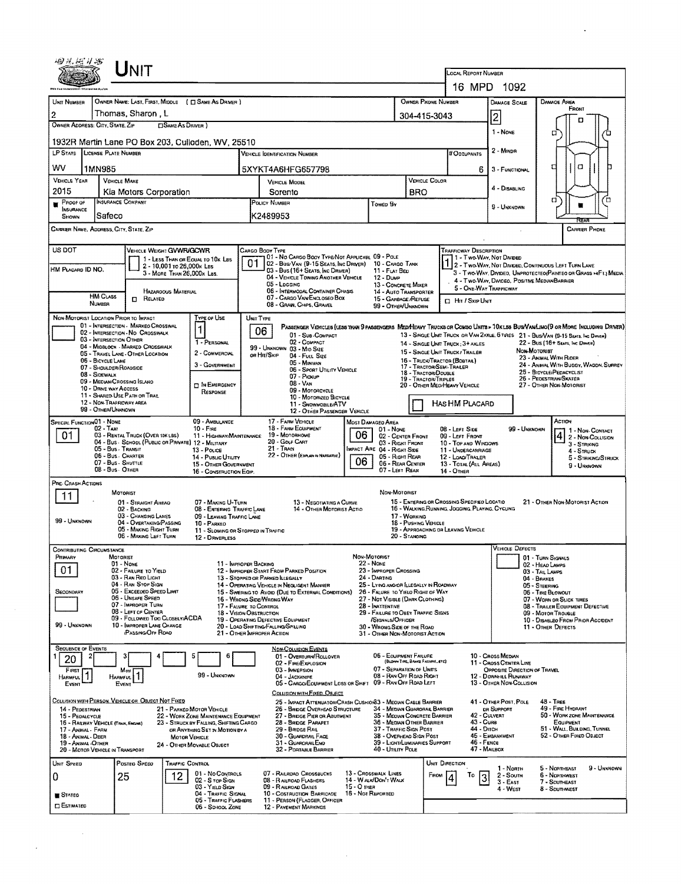| UNIT                                                                                                                                     |                                                                                                                                    |                                                                                                                             |                                                                                   |                                                                  |                                                                                                                        |  |  |  |
|------------------------------------------------------------------------------------------------------------------------------------------|------------------------------------------------------------------------------------------------------------------------------------|-----------------------------------------------------------------------------------------------------------------------------|-----------------------------------------------------------------------------------|------------------------------------------------------------------|------------------------------------------------------------------------------------------------------------------------|--|--|--|
|                                                                                                                                          |                                                                                                                                    |                                                                                                                             | LOCAL REPORT NUMBER                                                               |                                                                  |                                                                                                                        |  |  |  |
|                                                                                                                                          |                                                                                                                                    |                                                                                                                             |                                                                                   | 16 MPD 1092                                                      |                                                                                                                        |  |  |  |
| OWNER NAME: LAST, FIRST, MIDDLE ( C SAME AS DRIVER )<br>UNIT NUMBER<br>Thomas, Sharon, L<br>$\overline{2}$                               |                                                                                                                                    | <b>OWNER PHONE NUMBER</b>                                                                                                   |                                                                                   | DAMAGE SCALE                                                     | <b>DAMAGE AREA</b><br>FRONT                                                                                            |  |  |  |
| OWNER ADDRESS: CITY, STATE, ZIP<br><b>CISAME AS DRIVER</b> )                                                                             |                                                                                                                                    | 304-415-3043                                                                                                                |                                                                                   | 2                                                                |                                                                                                                        |  |  |  |
| 1932R Martin Lane PO Box 203, Culloden, WV, 25510                                                                                        |                                                                                                                                    | 1 - NONE                                                                                                                    | α                                                                                 |                                                                  |                                                                                                                        |  |  |  |
| LP STATE   LICENSE PLATE NUMBER                                                                                                          | <b>VEHICLE IDENTIFICATION NUMBER</b>                                                                                               |                                                                                                                             | # Occupants                                                                       | 2 - MINDR                                                        |                                                                                                                        |  |  |  |
| wv<br>1MN985                                                                                                                             | 5XYKT4A6HFG657798                                                                                                                  |                                                                                                                             | 6.                                                                                | 3 - FUNCTIONAL                                                   | a<br>а                                                                                                                 |  |  |  |
| <b>VEHICLE YEAR</b><br><b>VEHICLE MAKE</b>                                                                                               | <b>VEHICLE MODEL</b>                                                                                                               | VEHICLE COLOR                                                                                                               |                                                                                   | 4 - DISABLING                                                    |                                                                                                                        |  |  |  |
| 2015<br>Kia Motors Corporation<br>INSURANCE COMPANY<br>PROOF OF                                                                          | Sorento<br>POLICY NUMBER                                                                                                           | <b>BRO</b><br>Towen By                                                                                                      |                                                                                   |                                                                  | α<br>Έ                                                                                                                 |  |  |  |
| <b>INSURANCE</b><br>Safeco<br>SHOWN                                                                                                      | K2489953                                                                                                                           | 9 - Unknown                                                                                                                 |                                                                                   |                                                                  |                                                                                                                        |  |  |  |
| CARRIER NAME, ADDRESS, CITY, STATE, ZIP                                                                                                  |                                                                                                                                    |                                                                                                                             |                                                                                   |                                                                  | <b>CARRIER PHONE</b>                                                                                                   |  |  |  |
| US DOT<br>VEHICLE WEIGHT GVWR/GCWR                                                                                                       | CARGO BODY TYPE                                                                                                                    |                                                                                                                             | TRAFFICWAY DESCRIPTION                                                            |                                                                  |                                                                                                                        |  |  |  |
| 1 - Less Than or Equal to 10k LBS<br>2 - 10,001 to 26,000k Las<br>HM PLACARD ID NO.                                                      | 01 - No CARGO BOOY TYPE/NOT APPLICABL 09 - POLE<br>01<br>02 - Bus/Van (9-15 Seats, Inc Driver)<br>03 - Bus (16+ Seats, Inc Driver) | 10 - Cargo Tank<br>11 - FLAT BED                                                                                            | 11 - Two Way, Not Divided                                                         |                                                                  | 1 - I WO-WAY, IVOI DIVADED.<br>1 2 - Two-Way, NOT DIVADED, CONTINUOUS LEFT TURN LANE                                   |  |  |  |
| 3 - MORE THAN 26,000x LBS.                                                                                                               | 04 - VEHICLE TOWING ANOTHER VEHICLE<br>05 - LOGGING                                                                                | 12 - Duwn<br>13 - CONCRETE MIXER                                                                                            |                                                                                   | 4 - Two-Way, Divideo, Positive Median Barrier                    | 3 - Two-Way, Divideo, Unprotecteo(Painteo or Grass >4Ft.) Media                                                        |  |  |  |
| <b>HAZARDOUS MATERIAL</b><br><b>HM Cuss</b><br><b>n</b> RELATED                                                                          | 06 - INTERMODAL CONTAINER CHASIS<br>07 - CARGO VAN ENCLOSEO BOX                                                                    | 14 - AUTO TRANSPORTER<br>15 - GARBAGE / REFUSE                                                                              | 5 - ONE WAY TRAFFICWAY                                                            |                                                                  |                                                                                                                        |  |  |  |
| NUMBER                                                                                                                                   | 08 - GRAIN, CHIPS, GRAVEL                                                                                                          | 99 - OTHER/UNKNOWN                                                                                                          | <b>II</b> Hit / Skip Unit                                                         |                                                                  |                                                                                                                        |  |  |  |
| <b>TYPE OF USE</b><br>NON-MOTORIST LOCATION PRIOR TO IMPACT<br>01 - INTERSECTION - MARKEO CROSSWAL                                       | UNIT TYPE                                                                                                                          | PASSENGER VEHICLES (LESS THAN 9 PASSENGERS MEDIHEAVY TRUCKS OR COMBO UNITS > 10KLBS BUS/VAWLIMO(9 OR MORE INCLUDING DRIVER) |                                                                                   |                                                                  |                                                                                                                        |  |  |  |
| 02 - INTERSECTION - NO CROSSWALK<br>03 - INTERSECTION OTHER                                                                              | 06<br>01 - Sub-COMPACT<br>02 - COMPACT<br>1 - PERSONAL                                                                             |                                                                                                                             | 14 - SINGLE UNIT TRUCK; 3+ AXLES                                                  |                                                                  | 13 - SINGLE UNIT TRUCK OR VAN 2AXLE, 6 TIRES 21 - BUS/VAN (9-15 SEATS, INC DIRVER)<br>22 - Bus (16+ Seats, Inc Driver) |  |  |  |
| 04 - MIOBLOCK - MARKED CROSSWALK<br>05 - TRAVEL LANE - OTHER LOCATION                                                                    | 99 - UNKNOWN 03 - MID SIZE<br>2 - COMMERCIAL<br>OR HIT/SKIP<br>04 - FULL SIZE                                                      |                                                                                                                             | 15 - SINGLE UNIT TRUCK / TRAILER                                                  | Non-Motoriet                                                     | 23 - Animal With Rider                                                                                                 |  |  |  |
| 06 - BICYCLE LANE<br>07 - SHOULDER/ROADSIDE                                                                                              | 05 - Minivan<br>3 - GOVERNMENT<br>06 - SPORT UTILITY VEHICLE                                                                       | 17 - TRACTOR/SEMI-TRALER<br>18 - TRACTOR/DOUBLE                                                                             | 16 - ТRUCK/ТRACTOR (ВОВТАК)                                                       | 24 - ANMAL WITH BUGGY, WAGON, SURREY<br>25 - BICYCLE/PEDACYCLIST |                                                                                                                        |  |  |  |
| 08 - SIDEWALK<br>09 - MEDIAN/CROSSING ISLAND<br>10 - DRNE WAY ACCESS                                                                     | $07 -$ Pickup<br>$08 - V_{AN}$<br><b>D</b> IN EMERGENCY                                                                            | 19 - TRACTOR/TRIPLES                                                                                                        | 26 - PEOESTRIAN/SKATER<br>20 - OTHER MEDIMEAVY VEHICLE<br>27 - OTHER NON-MOTORIST |                                                                  |                                                                                                                        |  |  |  |
| 11 - SHARED-USE PATH OR TRAIL<br>12 - NON-TRAFFICWAY AREA                                                                                | 09 - Motorcycle<br>RESPONSE<br>10 - MOTORIZED BICYCLE                                                                              |                                                                                                                             |                                                                                   |                                                                  |                                                                                                                        |  |  |  |
| 99 - OTHER/UNKNOWN                                                                                                                       | 11 - SNOWMOBILE/ATV<br>12 - OTHER PASSENGER VEHICLE                                                                                |                                                                                                                             | HAS HM PLACARD                                                                    |                                                                  |                                                                                                                        |  |  |  |
| <b>SPECIAL FUNCTIONO1 - NONE</b><br>$02 - T_{AX}$<br>$10 -$ Fine                                                                         | 09 - AMBULANCE<br>17 - FARM VEHICLE<br>18 - FARM EQUIPMENT                                                                         | MOST DAMAGEO AREA<br>01 - Nove                                                                                              | 08 - LEFT SIDE                                                                    | 99 - Uniknown                                                    | ACTION<br>1 - NON-CONTACT                                                                                              |  |  |  |
| 01.<br>03 - RENTAL TRUCK (OVER 10K LBS)<br>04 - Bus - Schodl (Public or Private) 12 - Military                                           | 19 - Мотояноме<br>11 - HIGHWAY/MAINTENANCE<br>20 - Golf Cart                                                                       | 06.<br>02 - CENTER FRONT<br>03 - Right Front                                                                                | 09 - LEFT FRONT<br>10 - TOP AND WINDOWS                                           |                                                                  | 41 2 - NON-COLLISION<br>$3 - S$ TRIKING                                                                                |  |  |  |
| 05 - Bus - Transit<br>13 - Pouce<br>06 - Bus - Charter                                                                                   | $21 -$ Tran<br>22 - OTHER (EXPLAN IN NARRATIVE)<br>14 - PUBLIC UTILITY                                                             | MPACT ARE 04 - RIGHT SIDE<br>05 - Right Rear                                                                                | 11 - UNDERCARRIAGE<br>12 LOAD/TRAILER                                             |                                                                  | $4 -$ Struck<br>5 - STRIKING/STRUCK                                                                                    |  |  |  |
| 07 - Bus - SHUTTLE<br>08 - Bus OTHER                                                                                                     | 15 - OTHER GOVERNMENT<br>16 - CONSTRUCTION EQIP.                                                                                   | 06<br>06 - REAR CENTER<br>07 - LEFT REAR                                                                                    | 13 - TOTAL (ALL AREAS)<br>14 - OTHER                                              |                                                                  | 9 - Unknown                                                                                                            |  |  |  |
| PRE-CRASH ACTIONS                                                                                                                        |                                                                                                                                    |                                                                                                                             |                                                                                   |                                                                  |                                                                                                                        |  |  |  |
| MOTORIST<br>11<br>01 - STRAIGHT AHEAO                                                                                                    | 07 - MAKING U-TURN<br>13 - NEGOTIATING A CURVE                                                                                     | NON MOTORIST                                                                                                                | 15 - ENTERING OR CROSSING SPECIFIED LOCATIO                                       |                                                                  | 21 - OTHER NON-MOTORIST ACTION                                                                                         |  |  |  |
| 02 - BACKING<br>03 - CHANGING LANES<br>99 - UNKNOWN                                                                                      | 14 - Отнея Мотовіѕт Астіо<br>08 - ENTERING TRAFFIC LANE<br>09 - LEAVING TRAFFIC LANE                                               | 17 - WORKING                                                                                                                | 16 - WALKING, RUNNING, JOGGING, PLAYING, CYCLING                                  |                                                                  |                                                                                                                        |  |  |  |
| 04 - OVERTAKING/PASSING<br>05 - MAKING RIGHT TURN<br>06 - MAKING LEFT TURN                                                               | 10 - PARKED<br>11 - SLOWING OR STOPPED IN TRAFFIC                                                                                  | 18 - PUSHING VEHICLE<br>20 - STANOING                                                                                       | 19 - APPROACHING OR LEAVING VEHICLE                                               |                                                                  |                                                                                                                        |  |  |  |
| <b>CONTRIBUTING CIRCUMSTANCE</b>                                                                                                         | 12 - DAMERLESS                                                                                                                     |                                                                                                                             |                                                                                   | <b>VEHICLE DEFECTS</b>                                           |                                                                                                                        |  |  |  |
| Primary<br>MOTORIST<br>01 - None                                                                                                         | 11 - IMPROPER BACKING                                                                                                              | NON-MOTORIST<br>22 - None                                                                                                   |                                                                                   |                                                                  | 01 - TURN SIGNALS<br>02 - HEAD LAMPS                                                                                   |  |  |  |
| 01<br>02 - FAILURE TO YIELD<br>03 - RAN REO LIGHT                                                                                        | 12 - IMPROPER START FROM PARKED POSITION<br>13 - Stopped or PARKED ILLEGALLY                                                       | 23 - IMPROPER CROSSING<br>24 - DARTING                                                                                      |                                                                                   |                                                                  | 03 - TAIL LAMPS<br>04 - BRAKES                                                                                         |  |  |  |
| 04 - RAN STOP SIGN<br>05 - Exceeded Speed Limit<br>SECONDARY                                                                             | 14 - OPERATING VEHICLE IN NEGLIGENT MANNER<br>15 - Swering to Avoid (Due to External Conditions)                                   | 25 - LYING AND/OR ILLEGALLY IN ROADWAY<br>26 - FALURE TO YIELD RIGHT OF WAY                                                 |                                                                                   |                                                                  | 05 - STEERING<br>06 - TIRE BLOWOUT                                                                                     |  |  |  |
| 06 - Unsafe Speed<br>07 - IMPROPER TURN                                                                                                  | 16 - WRONG SIDE/WRONG WAY<br>17 - FALURE TO CONTROL                                                                                | 27 - NOT VISIBLE (DARK CLOTHING)<br>28 - INATTENTIVE                                                                        |                                                                                   |                                                                  | 07 - WORN OR SLICK TIRES<br>08 - TRAILER EQUIPMENT DEFECTIVE                                                           |  |  |  |
| 08 - LEFT OF CENTER<br>09 - FOLLOWED TOO CLOSELY/ACDA                                                                                    | <b>18 - VISION OBSTRUCTION</b><br>19 - OPERATING DEFECTIVE EQUIPMENT                                                               | 29 - FAILURE TO OBEY TRAFFIC SIGNS<br>/SIGNALS/OFFICER                                                                      |                                                                                   |                                                                  | 09 - Motor TrousLE<br>10 - DISABLEO FROM PRIOR ACCIDENT                                                                |  |  |  |
| 99 - Unknown<br>10 - IMPROPER LANE CHANGE<br><b>PASSING OFF ROAD</b>                                                                     | 20 - LOAD SHIFTING/FALLING/SPILLING<br>21 - OTHER IMPROPER ACTION                                                                  | 30 - WRONG SIDE OF THE ROAD<br>31 - OTHER NON-MOTORIST ACTION                                                               |                                                                                   |                                                                  | 11 - OTHER DEFECTS                                                                                                     |  |  |  |
| <b>SEQUENCE OF EVENTS</b>                                                                                                                | <b>NON-COLLISION EVENTS</b>                                                                                                        |                                                                                                                             |                                                                                   |                                                                  |                                                                                                                        |  |  |  |
| 20                                                                                                                                       | 6<br>01 - OVERTURN/ROLLOVER<br>02 - FIRE/EXPLOSION                                                                                 | 06 - EQUIPMENT FAILURE<br>(BLOWN TIRE, BRAIR FALURE, ETC)                                                                   |                                                                                   | 10 - Cross Median<br>11 - Cross Center Line                      |                                                                                                                        |  |  |  |
| FIRST<br>Most<br>1<br><b>HARMFUL</b><br>Harmful I                                                                                        | 03 - IMMERSION<br>99 - UNKNOWN<br>04 - JACKKNIFE                                                                                   | 07 - SEPARATION OF UNITS<br>08 - RAN OFF ROAD RIGHT<br>09 - RAN OFF ROAD LEFT                                               |                                                                                   | OPPOSITE DIRECTION OF TRAVEL<br>12 - DOWNHEL RUNAWAY             |                                                                                                                        |  |  |  |
| EVENT<br>EVENT                                                                                                                           | 05 - CARGO/EQUIPMENT LOSS OR SHIFT<br>COLLISION WITH FIXED, OBJECT                                                                 |                                                                                                                             |                                                                                   | 13 - OTHER NON-COLLISION                                         |                                                                                                                        |  |  |  |
| COLLISION WITH PERSON, VEHICLE OR OBJECT NOT FIXED<br>14 - PEDESTRIAN<br>21 - PARKED MOTOR VEHICLE                                       | 26 - BRIDGE OVERHEAD STRUCTURE                                                                                                     | 25 - IMPACT ATTENUATOR/CRASH CUSHION33 - MEDIAN CABLE BARRIER<br>34 - MEDIAN GUARORAIL BARRIER                              |                                                                                   | 41 - OTHER POST, POLE<br>DR SUPPORT                              | 48 - TREE<br>49 - FIRE HYDRANT                                                                                         |  |  |  |
| 22 - WORK ZONE MAINTENANCE EQUIPMENT<br>15 - PEOALCYCLE<br>23 - STRUCK BY FALLING, SHIFTING CARGO<br>16 - RAILWAY VEHICLE (TRAN, ENGINE) | 27 - BRIDGE PIER OR ABUTMENT<br>28 - BROGE PARAPET                                                                                 | 35 - MEDIAN CONCRETE BARRIER<br>36 - MEDIAN OTHER BARRIER                                                                   | 42 - CULVERT<br><b>43 - Cure</b>                                                  |                                                                  | 50 - WORK ZONE MAINTENANCE<br>ЕQUIPMENT                                                                                |  |  |  |
| 17 - Animal - Fafin<br>OR ANYTHING SET IN MOTION BY A<br>18 - Animal - Deer<br><b>MOTOR VEHICLE</b>                                      | 29 - BRIDGE RAIL<br>30 - GUARDRAIL FACE                                                                                            | 37 - TRAFFIC SIGN POST<br>38 - OVERHEAD SIGN POST                                                                           | 44 - Опсн                                                                         | 45 - EMBANKMENT                                                  | 51 - WALL, BUILDING, TUNNEL<br>52 - Отнев Ріхер Овлест                                                                 |  |  |  |
| 19 - Annal Other<br>24 - OTHER MOVABLE OBJECT<br>20 - MOTOR VEHICLE IN TRANSPORT                                                         | 31 - GUARDRAILENO<br>32 - PORTABLE BARRIER                                                                                         | 39 - LIGHT/LUMINARIES SUPPORT<br>40 - UTILITY POLE                                                                          | $46 -$ FENCE<br>47 - MAILBOX                                                      |                                                                  |                                                                                                                        |  |  |  |
| Posteo Speed<br><b>TRAFFIC CONTROL</b><br>UNIT SPEED                                                                                     |                                                                                                                                    |                                                                                                                             | UNIT DIRECTION                                                                    | 1 - North                                                        | 9 - UNKNOWN<br>5 - NORTHEAST                                                                                           |  |  |  |
| 12<br>0<br>25                                                                                                                            | 01 - No CONTROLS<br>07 - RAILRDAD CROSSBUCKS<br>02 - S TOP SIGN<br>08 - RAILROAD FLASHERS                                          | 13 - Crosswalk Lines<br>From<br>14 - WALK/DON'T WALK                                                                        | То<br>3                                                                           | 2 - South<br>$3 -$ EAST                                          | 6 - NORTHWEST<br>7 - SOUTHEAST                                                                                         |  |  |  |
| STATEO                                                                                                                                   | 03 - YIELD SIGN<br>09 - RAILHOAD GATES<br>04 - TRAFFIC SIGNAL<br>10 - COSTRUCTION BARRICADE                                        | 15 - O THER<br>16 - Not Reported                                                                                            |                                                                                   | 4 - West                                                         | 8 - Soutiwest                                                                                                          |  |  |  |
| <b>ESTIMATED</b>                                                                                                                         | 05 - TRAFFIC FLASHERS<br>11 - PERSON (FLAGGER, OFFICER<br>06 - SCHOOL ZONE<br>12 - PAVEMENT MARKINGS                               |                                                                                                                             |                                                                                   |                                                                  |                                                                                                                        |  |  |  |

 $\mathcal{L}^{\text{max}}_{\text{max}}$  and  $\mathcal{L}^{\text{max}}_{\text{max}}$ 

 $\label{eq:2.1} \frac{1}{\sqrt{2}}\left(\frac{1}{\sqrt{2}}\right)^2\left(\frac{1}{\sqrt{2}}\right)^2\left(\frac{1}{\sqrt{2}}\right)^2.$ 

 $\bar{u}$ 

 $\mathcal{L}_{\mathcal{L}}$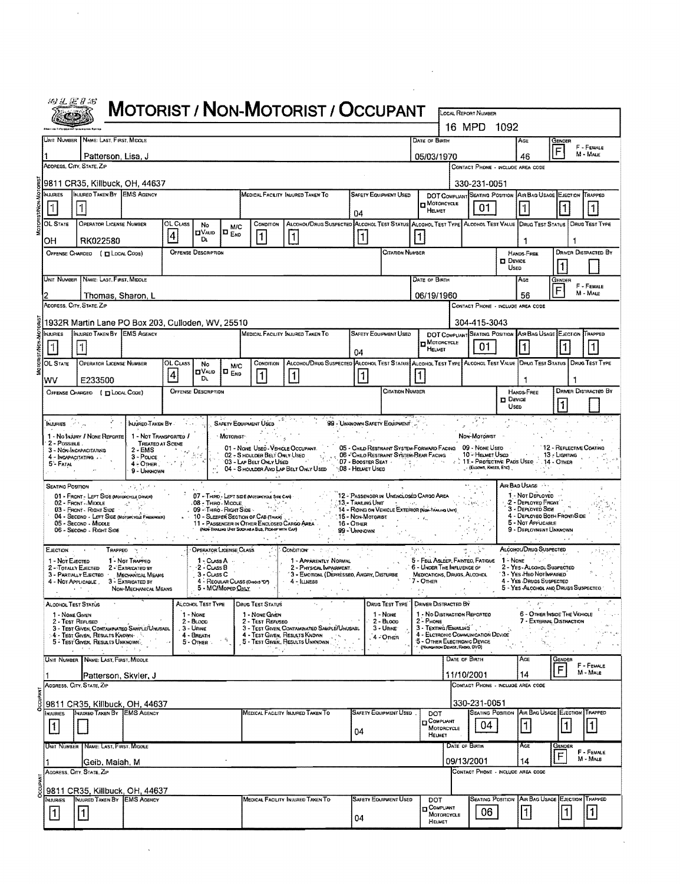|                  | 的义运扩影                                                                                                                                                                                                       |                                                                                                                                                    | <b>MOTORIST / NON-MOTORIST / OCCUPANT</b>                                                                          |              |                                                                    |                          |                                                                                                                                                                                                           |                                                          |                                                                                                                   |                                   |                                                                                                                                                                             |                                                       |                                                                      |                                                                                                  |                                 |                                                                                                                                                                                                      |                                                          |                             |
|------------------|-------------------------------------------------------------------------------------------------------------------------------------------------------------------------------------------------------------|----------------------------------------------------------------------------------------------------------------------------------------------------|--------------------------------------------------------------------------------------------------------------------|--------------|--------------------------------------------------------------------|--------------------------|-----------------------------------------------------------------------------------------------------------------------------------------------------------------------------------------------------------|----------------------------------------------------------|-------------------------------------------------------------------------------------------------------------------|-----------------------------------|-----------------------------------------------------------------------------------------------------------------------------------------------------------------------------|-------------------------------------------------------|----------------------------------------------------------------------|--------------------------------------------------------------------------------------------------|---------------------------------|------------------------------------------------------------------------------------------------------------------------------------------------------------------------------------------------------|----------------------------------------------------------|-----------------------------|
|                  |                                                                                                                                                                                                             |                                                                                                                                                    |                                                                                                                    |              |                                                                    |                          |                                                                                                                                                                                                           |                                                          |                                                                                                                   |                                   |                                                                                                                                                                             |                                                       |                                                                      | LOCAL REPORT NUMBER<br>16 MPD 1092                                                               |                                 |                                                                                                                                                                                                      |                                                          |                             |
|                  | Unit Number                                                                                                                                                                                                 | NAME: LAST, FIRST, MIDDLE                                                                                                                          |                                                                                                                    |              |                                                                    |                          |                                                                                                                                                                                                           |                                                          |                                                                                                                   |                                   |                                                                                                                                                                             | DATE OF BIRTH                                         |                                                                      |                                                                                                  |                                 | AGE                                                                                                                                                                                                  | GENDER                                                   |                             |
|                  |                                                                                                                                                                                                             | Patterson, Lisa, J                                                                                                                                 |                                                                                                                    |              |                                                                    |                          |                                                                                                                                                                                                           |                                                          |                                                                                                                   |                                   |                                                                                                                                                                             | 05/03/1970                                            |                                                                      |                                                                                                  |                                 | 46                                                                                                                                                                                                   | F                                                        | F - FEMALE<br>$M - M$ ALE   |
|                  |                                                                                                                                                                                                             | ADDRESS, CITY, STATE, ZIP                                                                                                                          |                                                                                                                    |              |                                                                    |                          |                                                                                                                                                                                                           |                                                          |                                                                                                                   |                                   |                                                                                                                                                                             |                                                       |                                                                      |                                                                                                  |                                 | CONTACT PHONE - INCLUDE AREA CODE                                                                                                                                                                    |                                                          |                             |
|                  |                                                                                                                                                                                                             | 9811 CR35, Killbuck, OH, 44637<br>INJURED TAKEN BY EMS AGENCY                                                                                      |                                                                                                                    |              |                                                                    |                          |                                                                                                                                                                                                           |                                                          |                                                                                                                   |                                   |                                                                                                                                                                             |                                                       |                                                                      | 330-231-0051                                                                                     |                                 |                                                                                                                                                                                                      |                                                          |                             |
|                  | <b>INJURIES</b><br>1                                                                                                                                                                                        |                                                                                                                                                    |                                                                                                                    |              |                                                                    |                          | MEDICAL FACEITY INJURED TAKEN TO                                                                                                                                                                          |                                                          |                                                                                                                   |                                   | <b>SAFETY EQUIPMENT USED</b>                                                                                                                                                |                                                       | D MOTORCYCLE                                                         | 01                                                                                               |                                 | DOT COMPLIANT SEATING POSITION AIR BAG USAGE EJECTION TRAPPED                                                                                                                                        |                                                          |                             |
|                  | 04<br>OL STATE<br>OPERATOR LICENSE NUMBER<br>ALCOHOL/DRUG SUSPECTED ALCOHOL TEST STATUS ALCOHOL TEST TYPE ALCOHOL TEST VALUE DRUG TEST STATUS   DRUG TEST TYPE<br>OL CLASS<br>CONDITION<br>No<br><b>M/C</b> |                                                                                                                                                    |                                                                                                                    |              |                                                                    |                          |                                                                                                                                                                                                           |                                                          |                                                                                                                   |                                   |                                                                                                                                                                             |                                                       | <b>HELMET</b>                                                        |                                                                                                  |                                 |                                                                                                                                                                                                      |                                                          |                             |
|                  | OН                                                                                                                                                                                                          | RK022580                                                                                                                                           |                                                                                                                    | 4            | <b>EIVALID</b><br>D.                                               | I¤ <sub>End</sub>        | 1                                                                                                                                                                                                         | 11                                                       |                                                                                                                   | $\vert$ 1                         |                                                                                                                                                                             | 11                                                    |                                                                      |                                                                                                  |                                 | 1                                                                                                                                                                                                    | 1                                                        |                             |
|                  |                                                                                                                                                                                                             | OFFENSE CHARGED ( EL LOCAL CODE)                                                                                                                   |                                                                                                                    |              | <b>OFFENSE DESCRIPTION</b>                                         |                          |                                                                                                                                                                                                           |                                                          |                                                                                                                   |                                   | <b>CITATION NUMBER</b>                                                                                                                                                      |                                                       |                                                                      |                                                                                                  |                                 | HANDS-FREE                                                                                                                                                                                           |                                                          | <b>DRIVER DISTRACTED BY</b> |
|                  |                                                                                                                                                                                                             |                                                                                                                                                    |                                                                                                                    |              |                                                                    |                          |                                                                                                                                                                                                           |                                                          |                                                                                                                   |                                   |                                                                                                                                                                             |                                                       |                                                                      |                                                                                                  | $\square$ Device<br><b>USED</b> |                                                                                                                                                                                                      |                                                          |                             |
|                  |                                                                                                                                                                                                             | UNIT NUMBER   NAME: LAST, FIRST, MIDDLE                                                                                                            |                                                                                                                    |              |                                                                    |                          |                                                                                                                                                                                                           |                                                          |                                                                                                                   |                                   |                                                                                                                                                                             | DATE OF BIRTH                                         |                                                                      |                                                                                                  |                                 | Age                                                                                                                                                                                                  | GENDER                                                   | F - FEMALE<br>M - MALE      |
|                  |                                                                                                                                                                                                             | Thomas, Sharon, L<br>ADDRESS, CITY, STATE. ZIP                                                                                                     |                                                                                                                    |              |                                                                    |                          |                                                                                                                                                                                                           |                                                          |                                                                                                                   |                                   |                                                                                                                                                                             | 06/19/1960                                            |                                                                      |                                                                                                  |                                 | 56<br>CONTACT PHONE - INCLUDE AREA CODE                                                                                                                                                              |                                                          |                             |
|                  |                                                                                                                                                                                                             | 1932R Martin Lane PO Box 203, Culloden, WV, 25510                                                                                                  |                                                                                                                    |              |                                                                    |                          |                                                                                                                                                                                                           |                                                          |                                                                                                                   |                                   |                                                                                                                                                                             |                                                       |                                                                      | 304-415-3043                                                                                     |                                 |                                                                                                                                                                                                      |                                                          |                             |
|                  | <b>NJURIES</b>                                                                                                                                                                                              | INJURED TAKEN BY EMS AGENCY                                                                                                                        |                                                                                                                    |              |                                                                    |                          | MEDICAL FACILITY INJURED TAKEN TO                                                                                                                                                                         |                                                          |                                                                                                                   |                                   | <b>SAFETY EQUIPMENT USED</b>                                                                                                                                                |                                                       | MOTORCYCLE                                                           |                                                                                                  |                                 | DOT COMPLIANT SEATING POSITION ASR BAG USAGE EJECTION TRAPPED                                                                                                                                        |                                                          |                             |
|                  |                                                                                                                                                                                                             | H.                                                                                                                                                 |                                                                                                                    |              |                                                                    |                          |                                                                                                                                                                                                           |                                                          |                                                                                                                   | 04                                |                                                                                                                                                                             |                                                       | HELMET                                                               | 01                                                                                               |                                 |                                                                                                                                                                                                      |                                                          |                             |
|                  | OL STATE                                                                                                                                                                                                    | OPERATOR LICENSE NUMBER                                                                                                                            |                                                                                                                    | OL Cuss<br>4 | No<br><b>DVALID</b>                                                | M/C<br>IO <sub>End</sub> | CONDITION<br>$\mathbf{1}$                                                                                                                                                                                 | 11                                                       | ALCOHOL/DRUG SUSPECTED ALCOHOL TEST STATUS ALCOHOL TEST TYPE ALCOHOL TEST VALUE DRUG TEST STATUS   DRUG TEST TYPE | 1                                 |                                                                                                                                                                             |                                                       |                                                                      |                                                                                                  |                                 |                                                                                                                                                                                                      |                                                          |                             |
|                  | wv                                                                                                                                                                                                          | E233500<br>OFFENSE CHARGED ( <b>EX LOCAL CODE</b> )                                                                                                |                                                                                                                    |              | DŁ.<br><b>OFFENSE DESCRIPTION</b>                                  |                          |                                                                                                                                                                                                           |                                                          |                                                                                                                   |                                   | <b>CITATION NUMBER</b>                                                                                                                                                      |                                                       |                                                                      |                                                                                                  |                                 | HANDS FREE                                                                                                                                                                                           |                                                          | <b>DRIVER DISTRACTED BY</b> |
|                  |                                                                                                                                                                                                             |                                                                                                                                                    |                                                                                                                    |              |                                                                    |                          |                                                                                                                                                                                                           |                                                          |                                                                                                                   |                                   |                                                                                                                                                                             |                                                       |                                                                      |                                                                                                  | $\Box$ Device<br>Useo           |                                                                                                                                                                                                      |                                                          |                             |
|                  | $2 - P$ OSSIBLE.<br>5'- Fatal<br><b>SEATING POSTRON</b>                                                                                                                                                     | 1 - No Injury / None Reporte<br>3 - NON-INCAPACITATING<br>4 - INCAPACITATING<br>01 - FRONT - LEFT SIDE Morgecras Daven)                            | 1 - NOT TRANSPORTED /<br>TREATED AT SCENE<br>$2 - EMS$<br>$3 - \text{Pouce}$<br>$4 -$ OTHER $7 - 7$<br>9 - UNKNOWN |              |                                                                    | · Motorist               | 01 - NONE USED - VEHICLE OCCUPANT.<br>02 - S HOULDER BELT ONLY USED<br>03 - LAP BELT ONLY USED<br>04 - S HOULDER AND LAP BELT ONLY USED<br>$\sim 10^{-1}$<br>07 - THIRD - LEFT SIDE (MOTORCYCLE SIDE CAR) |                                                          |                                                                                                                   | -08 - Heuvet Useo                 | 05 - CHILD RESTRAINT SYSTEM-FORWARD FACING 09 - NONE USED<br>06 - CHILO RESTRAINT SYSTEM-REAR FACING<br><b>07 - BOOSTER SEAT</b><br>12 - PASSENGER IN UNENCLOSED CARGO AREA |                                                       |                                                                      | Non-Motorist<br>10 - HELMET USED<br>(ELSOWS, KNEES, ETC)<br>the govern-                          |                                 | $\sim 10^{11}$ km $^{-1}$<br>11 - Protective Pads Used 7: 14 - Other<br>AIR BAG USAGE<br>1 - Nor DePLOYED                                                                                            | 12 - REFLECTIVE COATING<br>13 - Lighting                 |                             |
|                  | EJECTION<br>- Not EJECTED                                                                                                                                                                                   | 02 - FRONT MIDDLE<br>03 - FRONT - RIGHT SIDE<br>04 - SECOND - LEFT SIDE (Moroncycle PASSEMEN)<br>05 - Second - MIDOLE<br>06 - Second - Right Side  | こうぞう ついとう<br>$\sim$ 45,<br>TRAPPED :<br>1 - Nor Trapped                                                            |              | 09 - Thing - Right Side<br>OPERATOR LICENSE CLASS<br>$1 - Class A$ |                          | 08 - Thirio - Middle Carrier Carrier<br>10 - SLEEPER SECTION OF CAB (TRUCK)<br>11 - PASSENGER IN OTHER ENCLOSED CARGO AREA<br>(NON-TRAILING UNIT SUCH AS A BUS, PICK-UP WITH CAP)                         | CONDITION -                                              | $16 -$ OTHER<br>1 - Apparently Normal                                                                             | 15 - Non-Motorist<br>99 - UMOJOWN | $13$ - Trailing Unit $\begin{bmatrix} 1 & 1 & 1 \\ 1 & 1 & 1 \end{bmatrix}$<br>14 - RIDING ON VEHICLE EXTERIOR (NON-TRAINING UNIT)                                          | $\mathcal{F}^{\mathcal{G}}$ is a simple<br>إنادته فوق |                                                                      | ા પાડી કર્યા<br>5 - FELL ASLEEP, FAINTED, FATIGUE 1 - NONE                                       |                                 | 2 - DEPLOYED FRONT<br>3 - DEPLOYED SIDE<br>4 - DEPLOYEO BOTH FRONT/SIDE<br>5 - Not Applicable<br>9 - DEPLOYMENT UNKNOWN<br>ALCOHOL/DRUG SUSPECTED                                                    |                                                          |                             |
|                  | ALCOHOL TEST STATUS                                                                                                                                                                                         | 2 - TOTALLY EJECTED 2 - EXTRICATED BY<br>3 - PARTIALLY EJECTED<br>4 - NOT APPLICABLE , 3 - EXTRICATED BY                                           | MECHANICAL MEANS<br>NON-MECHANICAL MEANS                                                                           |              | $\sqrt{2}$ + CLASS B<br>3 - CLASS C<br>ALCOHOL TEST TYPE           | 5 - MC/Moped <u>Only</u> | 4 - REQUILAR CLASS (Oxoos "D")<br>DRUG TEST STATUS                                                                                                                                                        | $4 - l$<br>$\mathbf{r}$ .<br>$\mathcal{F}_{\mathcal{F}}$ | 2 - PHYSICAL IMPAIRMENT.<br>3 - EMOTIONI, (DEPRÉSSEO, ANGRY, DISTURBE                                             | $\sim$                            | DRUG TEST TYPE                                                                                                                                                              | 7 - OTHER                                             | MEDICATIONS, DRUGS, ALCOHOL<br><b>DRIVER DISTRACTED BY</b>           | 6 - UNDER THE INFLUENCE OF                                                                       |                                 | 2 - YES - ALCOHOL SUSPECTED<br>3 - Yes Hao Not Impared<br>4 - YES DRUGS SUSPECTED<br>5 - YES ALCOHOL ANO DRUGS SUSPECTED<br>$\mathcal{C}_{\alpha}=\mathcal{C}^{\alpha_{1}}\cup\cdots\cup\mathcal{C}$ |                                                          |                             |
|                  | 1 - NONE GIVEN                                                                                                                                                                                              | 2 - Test Refused<br>3 - TEST GIVEN, CONTAMINATEO SAMPLE/UNUSABL<br>4 - Test Given, Results Known<br>5 - Test Given, Results Unknown,<br>ふくち インファール | プラッシュ                                                                                                              |              | 1 - NONE<br>$2 - BLOOD$<br>3 - Urine<br>4 - BREATH<br>$5 -$ OTHER  | A.                       | 1 - NONE GIVEN<br>2 - TEST REFUSEO<br>3 - TEST GIVEN CONTAMINATED SAMPLE/UNUSABL<br>4 - Test Given, Results Known<br>5 - Test Given, Results Unknown<br>in y                                              |                                                          | $\mathcal{A}=\mathcal{G}$ .                                                                                       |                                   | 1 - NONE<br>$2 -$ BLoop<br>$3 -$ URINE<br>$4 -$ Onen                                                                                                                        | $2 - P$ HONE                                          | 2 - Phone<br>3 - Texting/Emailing<br>(NAVIGATION DEVICE, RADIO, DVD) | 1 - No Distraction Reported<br>4 - ELETRONIC COMMUNICATION DEVICE<br>5 - OTHER ELECTRONIC DEVICE |                                 |                                                                                                                                                                                                      | 6 - OTHER INSIDE THE VEHICLE<br>7 - External Distraction |                             |
|                  |                                                                                                                                                                                                             | UNIT NUMBER NAME: LAST, FIRST, MIDDLE                                                                                                              |                                                                                                                    |              |                                                                    |                          |                                                                                                                                                                                                           |                                                          |                                                                                                                   |                                   |                                                                                                                                                                             |                                                       |                                                                      | DATE OF BIRTH                                                                                    |                                 | AGE                                                                                                                                                                                                  | GENDER<br>F                                              | F - FEMALE<br>M - MALE      |
|                  |                                                                                                                                                                                                             | IPatterson, Skvler, J<br>ADDRESS, CITY, STATE, ZIP                                                                                                 |                                                                                                                    |              |                                                                    |                          |                                                                                                                                                                                                           |                                                          |                                                                                                                   |                                   |                                                                                                                                                                             |                                                       |                                                                      | 11/10/2001                                                                                       |                                 | 14<br>CONTACT PHONE - INCLUDE AREA CODE                                                                                                                                                              |                                                          |                             |
| <b>DCCUPANT</b>  |                                                                                                                                                                                                             | 9811 CR35, Killbuck, OH, 44637                                                                                                                     |                                                                                                                    |              |                                                                    |                          |                                                                                                                                                                                                           |                                                          |                                                                                                                   |                                   |                                                                                                                                                                             |                                                       |                                                                      | 330-231-0051                                                                                     |                                 |                                                                                                                                                                                                      |                                                          |                             |
|                  | <b>NJURIES</b>                                                                                                                                                                                              | INJURED TAKEN BY EMS AGENCY                                                                                                                        |                                                                                                                    |              |                                                                    |                          | MEDICAL FACILITY INJURED TAKEN TO                                                                                                                                                                         |                                                          |                                                                                                                   |                                   | <b>SAFETY EQUIPMENT USED</b>                                                                                                                                                | DOT                                                   | <b>D</b> COMPLIANT                                                   |                                                                                                  | <b>SEATING POSITION</b>         |                                                                                                                                                                                                      | AIR BAG USAGE EJECTION                                   | TRAPPED                     |
|                  | $\vert$ 1                                                                                                                                                                                                   |                                                                                                                                                    |                                                                                                                    |              |                                                                    |                          |                                                                                                                                                                                                           |                                                          |                                                                                                                   | 04                                |                                                                                                                                                                             |                                                       | MOTORCYCLE<br>HELMET                                                 | 04                                                                                               |                                 | 11                                                                                                                                                                                                   | 1                                                        | 1                           |
|                  |                                                                                                                                                                                                             | UNIT NUMBER   NAME: LAST, FIRST, MIDDLE                                                                                                            |                                                                                                                    |              |                                                                    |                          |                                                                                                                                                                                                           |                                                          |                                                                                                                   |                                   |                                                                                                                                                                             |                                                       |                                                                      | DATE OF BIRTH                                                                                    |                                 | AGE                                                                                                                                                                                                  | Gender                                                   | F - FEMALE                  |
|                  |                                                                                                                                                                                                             | Geib, Maiah, M                                                                                                                                     |                                                                                                                    |              |                                                                    |                          |                                                                                                                                                                                                           |                                                          |                                                                                                                   |                                   |                                                                                                                                                                             |                                                       |                                                                      | 09/13/2001                                                                                       |                                 | 14                                                                                                                                                                                                   | $\overline{F}$                                           | M - MALE                    |
| <b>DCCLIPANT</b> |                                                                                                                                                                                                             | ADDRESS, CITY, STATE, ZIP                                                                                                                          |                                                                                                                    |              |                                                                    |                          |                                                                                                                                                                                                           |                                                          |                                                                                                                   |                                   |                                                                                                                                                                             |                                                       |                                                                      |                                                                                                  |                                 | CONTACT PHONE - INCLUDE AREA CODE                                                                                                                                                                    |                                                          |                             |
|                  | İnjuries                                                                                                                                                                                                    | 9811 CR35, Killbuck, OH, 44637<br>INJURED TAKEN BY EMS AGENCY                                                                                      |                                                                                                                    |              |                                                                    |                          | MEDICAL FACILITY INJURED TAKEN TO                                                                                                                                                                         |                                                          |                                                                                                                   |                                   | <b>SAFETY EQUIPMENT USED</b>                                                                                                                                                | DOT                                                   |                                                                      |                                                                                                  | <b>SEATING POSITION</b>         |                                                                                                                                                                                                      | AIR BAG USAGE EJECTION                                   | TRAPPED                     |
|                  | $\vert$ 1                                                                                                                                                                                                   | $\vert$ 1 $\vert$                                                                                                                                  |                                                                                                                    |              |                                                                    |                          |                                                                                                                                                                                                           |                                                          |                                                                                                                   | 04                                |                                                                                                                                                                             |                                                       | <b>D</b> COMPLIANT<br>MOTORCYCLE<br>HELMET                           | 06                                                                                               |                                 | $\mathbf{1}$                                                                                                                                                                                         | $\mathbf{1}$                                             | $\vert$ 1                   |

 $\frac{1}{2} \frac{1}{2} \frac{1}{2}$ 

 $\sim 10^7$